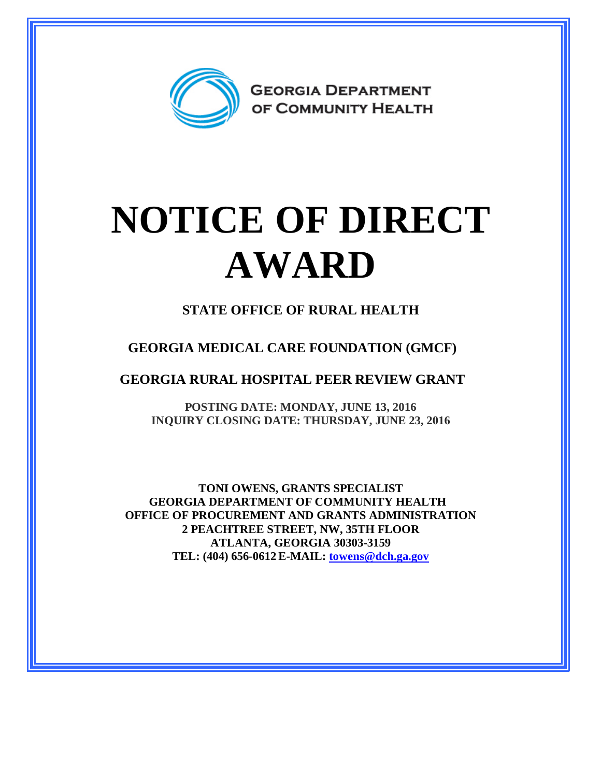

## **NOTICE OF DIRECT AWARD**

**STATE OFFICE OF RURAL HEALTH**

**GEORGIA MEDICAL CARE FOUNDATION (GMCF)**

**GEORGIA RURAL HOSPITAL PEER REVIEW GRANT**

**POSTING DATE: MONDAY, JUNE 13, 2016 INQUIRY CLOSING DATE: THURSDAY, JUNE 23, 2016**

**TONI OWENS, GRANTS SPECIALIST GEORGIA DEPARTMENT OF COMMUNITY HEALTH OFFICE OF PROCUREMENT AND GRANTS ADMINISTRATION 2 PEACHTREE STREET, NW, 35TH FLOOR ATLANTA, GEORGIA 30303-3159 TEL: (404) 656-0612 E-MAIL: [towens@dch.ga.gov](mailto:towens@dch.ga.gov)**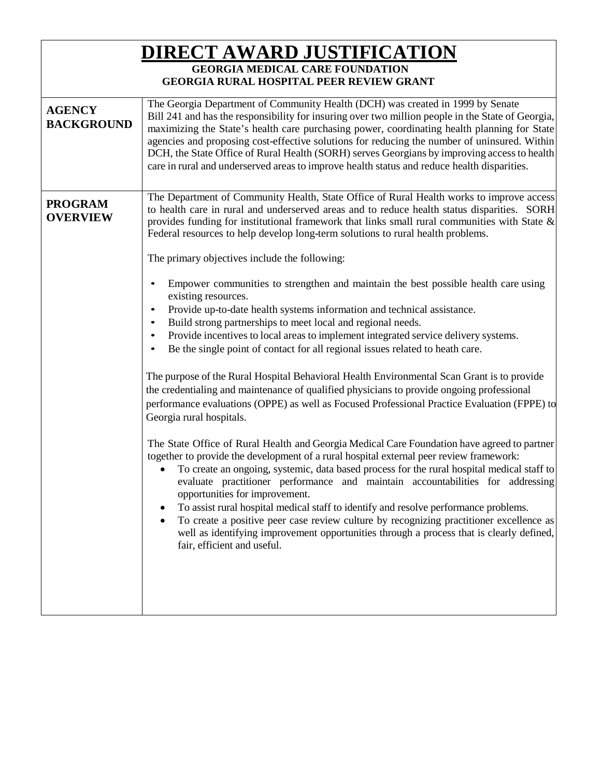| <u>DIRECT AWARD JUSTIFICATION</u><br><b>GEORGIA MEDICAL CARE FOUNDATION</b><br><b>GEORGIA RURAL HOSPITAL PEER REVIEW GRANT</b> |                                                                                                                                                                                                                                                                                                                                                                                                                                                                                                                                                                                                                                                                                                                                                                                                                                                                                                                                                                                                                                                                                                                                                                                                                                                                                                                                                                                                                                                                                                                          |
|--------------------------------------------------------------------------------------------------------------------------------|--------------------------------------------------------------------------------------------------------------------------------------------------------------------------------------------------------------------------------------------------------------------------------------------------------------------------------------------------------------------------------------------------------------------------------------------------------------------------------------------------------------------------------------------------------------------------------------------------------------------------------------------------------------------------------------------------------------------------------------------------------------------------------------------------------------------------------------------------------------------------------------------------------------------------------------------------------------------------------------------------------------------------------------------------------------------------------------------------------------------------------------------------------------------------------------------------------------------------------------------------------------------------------------------------------------------------------------------------------------------------------------------------------------------------------------------------------------------------------------------------------------------------|
| <b>AGENCY</b><br><b>BACKGROUND</b>                                                                                             | The Georgia Department of Community Health (DCH) was created in 1999 by Senate<br>Bill 241 and has the responsibility for insuring over two million people in the State of Georgia,<br>maximizing the State's health care purchasing power, coordinating health planning for State<br>agencies and proposing cost-effective solutions for reducing the number of uninsured. Within<br>DCH, the State Office of Rural Health (SORH) serves Georgians by improving access to health<br>care in rural and underserved areas to improve health status and reduce health disparities.                                                                                                                                                                                                                                                                                                                                                                                                                                                                                                                                                                                                                                                                                                                                                                                                                                                                                                                                         |
| <b>PROGRAM</b><br><b>OVERVIEW</b>                                                                                              | The Department of Community Health, State Office of Rural Health works to improve access<br>to health care in rural and underserved areas and to reduce health status disparities. SORH<br>provides funding for institutional framework that links small rural communities with State $\&$<br>Federal resources to help develop long-term solutions to rural health problems.<br>The primary objectives include the following:                                                                                                                                                                                                                                                                                                                                                                                                                                                                                                                                                                                                                                                                                                                                                                                                                                                                                                                                                                                                                                                                                           |
|                                                                                                                                | Empower communities to strengthen and maintain the best possible health care using<br>existing resources.<br>Provide up-to-date health systems information and technical assistance.<br>$\bullet$<br>Build strong partnerships to meet local and regional needs.<br>$\bullet$<br>Provide incentives to local areas to implement integrated service delivery systems.<br>٠<br>Be the single point of contact for all regional issues related to heath care.<br>The purpose of the Rural Hospital Behavioral Health Environmental Scan Grant is to provide<br>the credentialing and maintenance of qualified physicians to provide ongoing professional<br>performance evaluations (OPPE) as well as Focused Professional Practice Evaluation (FPPE) to<br>Georgia rural hospitals.<br>The State Office of Rural Health and Georgia Medical Care Foundation have agreed to partner<br>together to provide the development of a rural hospital external peer review framework:<br>To create an ongoing, systemic, data based process for the rural hospital medical staff to<br>evaluate practitioner performance and maintain accountabilities for addressing<br>opportunities for improvement.<br>To assist rural hospital medical staff to identify and resolve performance problems.<br>$\bullet$<br>To create a positive peer case review culture by recognizing practitioner excellence as<br>well as identifying improvement opportunities through a process that is clearly defined,<br>fair, efficient and useful. |